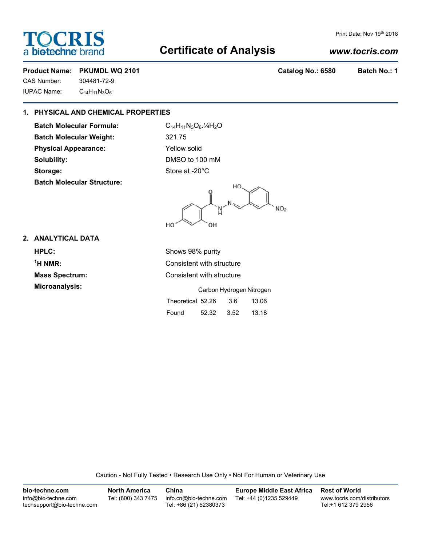## Print Date: Nov 19th 2018

# **Certificate of Analysis**

# *www.tocris.com*

# Product Name: PKUMDL WQ 2101 **Catalog No.: 6580** Batch No.: 1

CAS Number: 304481-72-9 IUPAC Name: C14H11N3O6

**FOCRIS** 

**bio-techne** br

# **1. PHYSICAL AND CHEMICAL PROPERTIES**

**Batch Molecular Formula:** C<sub>14</sub>H<sub>11</sub>N<sub>3</sub>O<sub>6</sub>.<sup>1</sup>/<sub>4</sub>H<sub>2</sub>O **Batch Molecular Weight:** 321.75 **Physical Appearance:** Yellow solid **Solubility:** DMSO to 100 mM Storage: Store at -20°C **Batch Molecular Structure:**

HO NO<sub>2</sub> HO OΗ

# **2. ANALYTICAL DATA**

**HPLC:** Shows 98% purity  $1$ <sup>H</sup> NMR:

**Consistent with structure Mass Spectrum:** Consistent with structure

**Microanalysis:** Carbon Hydrogen Nitrogen

| Theoretical 52.26 |       | 3.6  | 13.06 |
|-------------------|-------|------|-------|
| Found             | 52.32 | 3.52 | 13.18 |

Caution - Not Fully Tested • Research Use Only • Not For Human or Veterinary Use